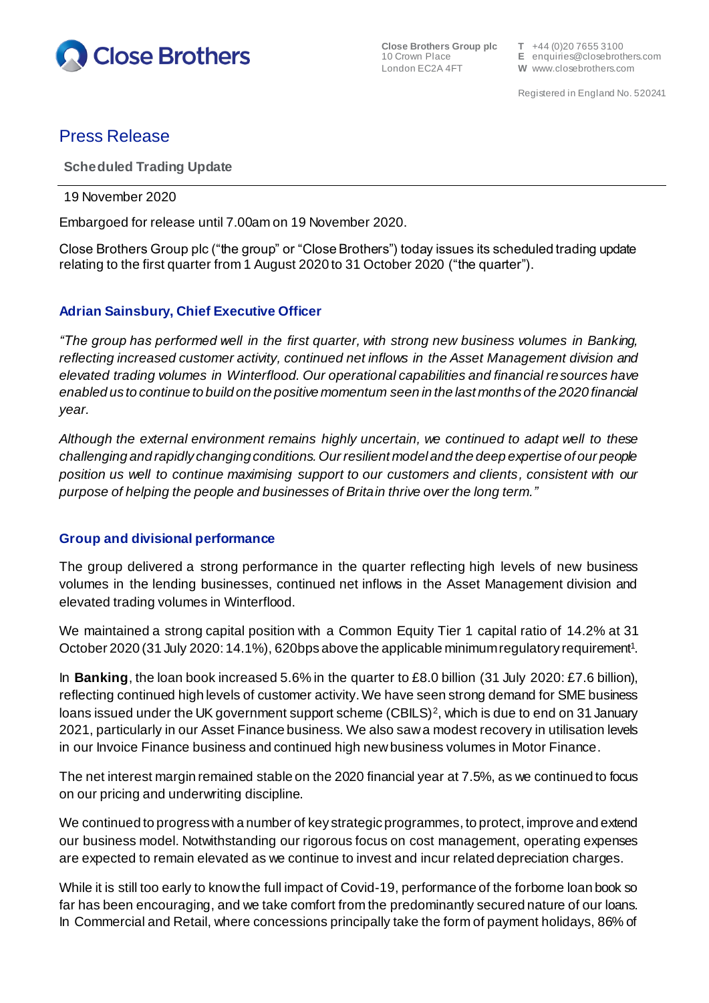

**Close Brothers Group plc T** +44 (0)20 7655 3100<br>10 Crown Place **E** enquiries@closebrotl

10 Crown Place **E** enquiries@closebrothers.com W www.closebrothers.com

# Press Release

**Scheduled Trading Update**

19 November 2020

Embargoed for release until 7.00am on 19 November 2020.

Close Brothers Group plc ("the group" or "Close Brothers") today issues its scheduled trading update relating to the first quarter from 1 August 2020 to 31 October 2020 ("the quarter").

### **Adrian Sainsbury, Chief Executive Officer**

*"The group has performed well in the first quarter, with strong new business volumes in Banking, reflecting increased customer activity, continued net inflows in the Asset Management division and elevated trading volumes in Winterflood. Our operational capabilities and financial resources have enabled us to continue to build on the positive momentum seen in the last months of the 2020 financial year.*

*Although the external environment remains highly uncertain, we continued to adapt well to these challenging and rapidly changing conditions.Our resilient model and the deep expertise of our people position us well to continue maximising support to our customers and clients, consistent with our purpose of helping the people and businesses of Britain thrive over the long term."*

### **Group and divisional performance**

The group delivered a strong performance in the quarter reflecting high levels of new business volumes in the lending businesses, continued net inflows in the Asset Management division and elevated trading volumes in Winterflood.

We maintained a strong capital position with a Common Equity Tier 1 capital ratio of 14.2% at 31 October 2020 (31 July 2020: 14.1%), 620bps above the applicable minimum regulatory requirement<sup>1</sup>.

In **Banking**, the loan book increased 5.6% in the quarter to £8.0 billion (31 July 2020: £7.6 billion), reflecting continued high levels of customer activity.We have seen strong demand for SME business loans issued under the UK government support scheme (CBILS)<sup>2</sup>, which is due to end on 31 January 2021, particularly in our Asset Finance business. We also saw a modest recovery in utilisation levels in our Invoice Finance business and continued high new business volumes in Motor Finance.

The net interest margin remained stable on the 2020 financial year at 7.5%, as we continued to focus on our pricing and underwriting discipline.

We continued to progress with a number of key strategic programmes, to protect, improve and extend our business model. Notwithstanding our rigorous focus on cost management, operating expenses are expected to remain elevated as we continue to invest and incur related depreciation charges.

While it is still too early to know the full impact of Covid-19, performance of the forborne loan book so far has been encouraging, and we take comfort from the predominantly secured nature of our loans. In Commercial and Retail, where concessions principally take the form of payment holidays, 86% of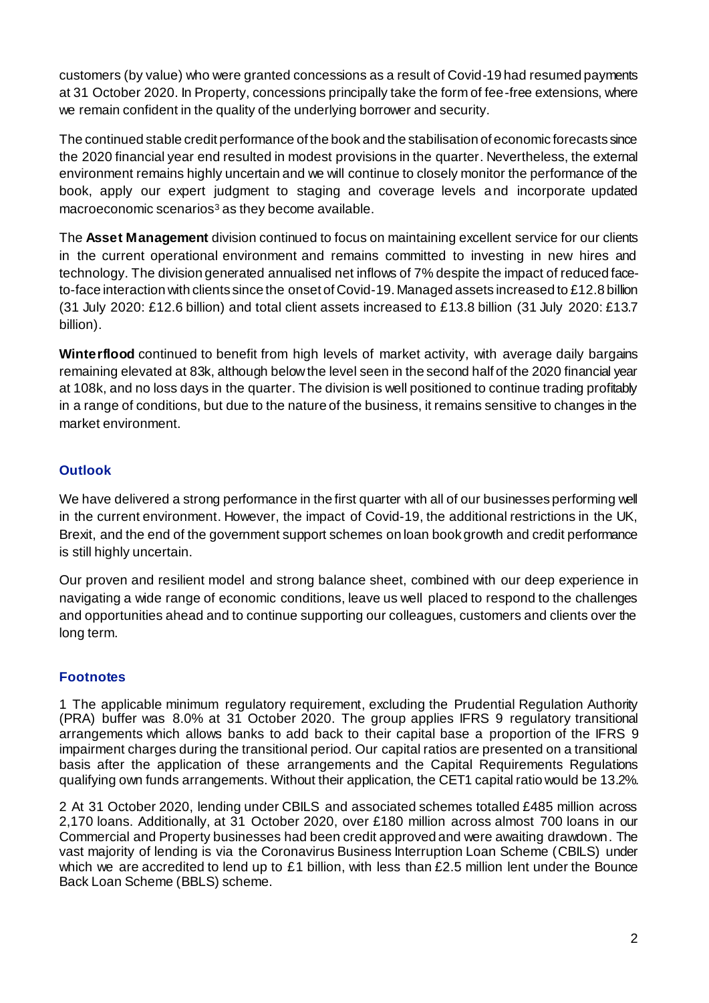customers (by value) who were granted concessions as a result of Covid-19 had resumed payments at 31 October 2020. In Property, concessions principally take the form of fee-free extensions, where we remain confident in the quality of the underlying borrower and security.

The continued stable credit performance of the book and the stabilisation of economic forecasts since the 2020 financial year end resulted in modest provisions in the quarter. Nevertheless, the external environment remains highly uncertain and we will continue to closely monitor the performance of the book, apply our expert judgment to staging and coverage levels and incorporate updated macroeconomic scenarios<sup>3</sup> as they become available.

The **Asset Management** division continued to focus on maintaining excellent service for our clients in the current operational environment and remains committed to investing in new hires and technology. The division generated annualised net inflows of 7% despite the impact of reduced faceto-face interaction with clients since the onset of Covid-19. Managed assets increased to £12.8 billion (31 July 2020: £12.6 billion) and total client assets increased to £13.8 billion (31 July 2020: £13.7 billion).

**Winterflood** continued to benefit from high levels of market activity, with average daily bargains remaining elevated at 83k, although belowthe level seen in the second half of the 2020 financial year at 108k, and no loss days in the quarter. The division is well positioned to continue trading profitably in a range of conditions, but due to the nature of the business, it remains sensitive to changes in the market environment.

## **Outlook**

We have delivered a strong performance in the first quarter with all of our businesses performing well in the current environment. However, the impact of Covid-19, the additional restrictions in the UK, Brexit, and the end of the government support schemes on loan book growth and credit performance is still highly uncertain.

Our proven and resilient model and strong balance sheet, combined with our deep experience in navigating a wide range of economic conditions, leave us well placed to respond to the challenges and opportunities ahead and to continue supporting our colleagues, customers and clients over the long term.

## **Footnotes**

1 The applicable minimum regulatory requirement, excluding the Prudential Regulation Authority (PRA) buffer was 8.0% at 31 October 2020. The group applies IFRS 9 regulatory transitional arrangements which allows banks to add back to their capital base a proportion of the IFRS 9 impairment charges during the transitional period. Our capital ratios are presented on a transitional basis after the application of these arrangements and the Capital Requirements Regulations qualifying own funds arrangements. Without their application, the CET1 capital ratio would be 13.2%.

2 At 31 October 2020, lending under CBILS and associated schemes totalled £485 million across 2,170 loans. Additionally, at 31 October 2020, over £180 million across almost 700 loans in our Commercial and Property businesses had been credit approved and were awaiting drawdown. The vast majority of lending is via the Coronavirus Business Interruption Loan Scheme (CBILS) under which we are accredited to lend up to £1 billion, with less than £2.5 million lent under the Bounce Back Loan Scheme (BBLS) scheme.